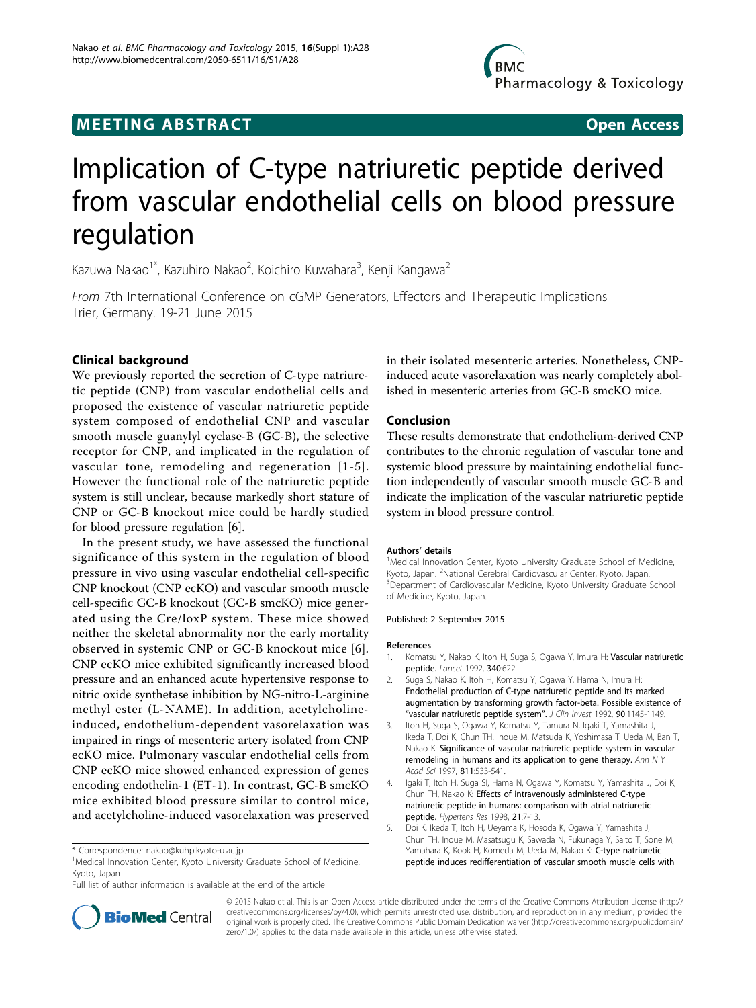# **MEETING ABSTRACT ACCESS**

# Implication of C-type natriuretic peptide derived from vascular endothelial cells on blood pressure regulation

Kazuwa Nakao<sup>1\*</sup>, Kazuhiro Nakao<sup>2</sup>, Koichiro Kuwahara<sup>3</sup>, Kenji Kangawa<sup>2</sup>

From 7th International Conference on cGMP Generators, Effectors and Therapeutic Implications Trier, Germany. 19-21 June 2015

## Clinical background

We previously reported the secretion of C-type natriuretic peptide (CNP) from vascular endothelial cells and proposed the existence of vascular natriuretic peptide system composed of endothelial CNP and vascular smooth muscle guanylyl cyclase-B (GC-B), the selective receptor for CNP, and implicated in the regulation of vascular tone, remodeling and regeneration [1-5]. However the functional role of the natriuretic peptide system is still unclear, because markedly short stature of CNP or GC-B knockout mice could be hardly studied for blood pressure regulation [[6](#page-1-0)].

In the present study, we have assessed the functional significance of this system in the regulation of blood pressure in vivo using vascular endothelial cell-specific CNP knockout (CNP ecKO) and vascular smooth muscle cell-specific GC-B knockout (GC-B smcKO) mice generated using the Cre/loxP system. These mice showed neither the skeletal abnormality nor the early mortality observed in systemic CNP or GC-B knockout mice [[6\]](#page-1-0). CNP ecKO mice exhibited significantly increased blood pressure and an enhanced acute hypertensive response to nitric oxide synthetase inhibition by NG-nitro-L-arginine methyl ester (L-NAME). In addition, acetylcholineinduced, endothelium-dependent vasorelaxation was impaired in rings of mesenteric artery isolated from CNP ecKO mice. Pulmonary vascular endothelial cells from CNP ecKO mice showed enhanced expression of genes encoding endothelin-1 (ET-1). In contrast, GC-B smcKO mice exhibited blood pressure similar to control mice, and acetylcholine-induced vasorelaxation was preserved

<sup>1</sup>Medical Innovation Center, Kyoto University Graduate School of Medicine, Kyoto, Japan

in their isolated mesenteric arteries. Nonetheless, CNPinduced acute vasorelaxation was nearly completely abolished in mesenteric arteries from GC-B smcKO mice.

### Conclusion

These results demonstrate that endothelium-derived CNP contributes to the chronic regulation of vascular tone and systemic blood pressure by maintaining endothelial function independently of vascular smooth muscle GC-B and indicate the implication of the vascular natriuretic peptide system in blood pressure control.

#### Authors' details <sup>1</sup>

<sup>1</sup>Medical Innovation Center, Kyoto University Graduate School of Medicine, Kyoto, Japan. <sup>2</sup>National Cerebral Cardiovascular Center, Kyoto, Japan.<br><sup>3</sup>Department of Cardiovascular Medicine, Kyoto University Graduate. <sup>3</sup>Department of Cardiovascular Medicine, Kyoto University Graduate School of Medicine, Kyoto, Japan.

#### Published: 2 September 2015

#### References

- Komatsu Y, Nakao K, Itoh H, Suga S, Ogawa Y, Imura H: Vascular natriuretic peptide. Lancet 1992, 340:622.
- 2. Suga S, Nakao K, Itoh H, Komatsu Y, Ogawa Y, Hama N, Imura H: Endothelial production of C-type natriuretic peptide and its marked augmentation by transforming growth factor-beta. Possible existence of "vascular natriuretic peptide system". J Clin Invest 1992, 90:1145-1149.
- 3. Itoh H, Suga S, Ogawa Y, Komatsu Y, Tamura N, Igaki T, Yamashita J, Ikeda T, Doi K, Chun TH, Inoue M, Matsuda K, Yoshimasa T, Ueda M, Ban T, Nakao K: Significance of vascular natriuretic peptide system in vascular remodeling in humans and its application to gene therapy. Ann N Y Acad Sci 1997, 811:533-541.
- Igaki T, Itoh H, Suga SI, Hama N, Ogawa Y, Komatsu Y, Yamashita J, Doi K, Chun TH, Nakao K: Effects of intravenously administered C-type natriuretic peptide in humans: comparison with atrial natriuretic peptide. Hypertens Res 1998, 21:7-13.
- 5. Doi K, Ikeda T, Itoh H, Ueyama K, Hosoda K, Ogawa Y, Yamashita J, Chun TH, Inoue M, Masatsugu K, Sawada N, Fukunaga Y, Saito T, Sone M, Yamahara K, Kook H, Komeda M, Ueda M, Nakao K: C-type natriuretic peptide induces redifferentiation of vascular smooth muscle cells with



© 2015 Nakao et al. This is an Open Access article distributed under the terms of the Creative Commons Attribution License [\(http://](http://creativecommons.org/licenses/by/4.0) [creativecommons.org/licenses/by/4.0](http://creativecommons.org/licenses/by/4.0)), which permits unrestricted use, distribution, and reproduction in any medium, provided the original work is properly cited. The Creative Commons Public Domain Dedication waiver ([http://creativecommons.org/publicdomain/](http://creativecommons.org/publicdomain/zero/1.0/) [zero/1.0/](http://creativecommons.org/publicdomain/zero/1.0/)) applies to the data made available in this article, unless otherwise stated.

<sup>\*</sup> Correspondence: [nakao@kuhp.kyoto-u.ac.jp](mailto:nakao@kuhp.kyoto-u.ac.jp)

Full list of author information is available at the end of the article